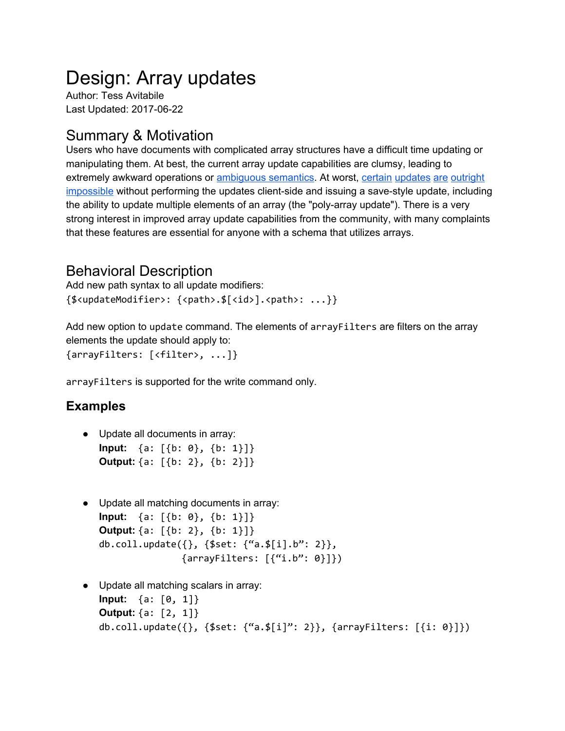# Design: Array updates

Author: Tess Avitabile Last Updated: 2017-06-22

# Summary & Motivation

Users who have documents with complicated array structures have a difficult time updating or manipulating them. At best, the current array update capabilities are clumsy, leading to extremely awkward operations or [ambiguous](https://jira.mongodb.org/browse/SERVER-18500) semantics. At worst, [certain](https://jira.mongodb.org/browse/SERVER-831) [updates](https://jira.mongodb.org/browse/SERVER-6982) [are](https://jira.mongodb.org/browse/SERVER-27089) [outright](https://jira.mongodb.org/browse/SERVER-1050) [impossible](https://jira.mongodb.org/browse/SERVER-25717) [without](https://jira.mongodb.org/browse/SERVER-25717) [performing](https://jira.mongodb.org/browse/SERVER-25717) [the](https://jira.mongodb.org/browse/SERVER-25717) [updates](https://jira.mongodb.org/browse/SERVER-25717) [client-side](https://jira.mongodb.org/browse/SERVER-25717) [and](https://jira.mongodb.org/browse/SERVER-25717) [issuing](https://jira.mongodb.org/browse/SERVER-25717) a [save-style](https://jira.mongodb.org/browse/SERVER-25717) [update](https://jira.mongodb.org/browse/SERVER-25717), including the ability to update multiple elements of an array (the "poly-array update"). There is a very strong interest in improved array update capabilities from the community, with many complaints that these features are essential for anyone with a schema that utilizes arrays.

# Behavioral Description

Add new path syntax to all update modifiers: {\$<updateModifier>: {<path>.\$[<id>].<path>: ...}}

Add new option to update command. The elements of arrayFilters are filters on the array elements the update should apply to: {arrayFilters: [<filter>, ...]}

arrayFilters is supported for the write command only.

## **Examples**

- Update all documents in array: **Input:** {a: [{b: 0}, {b: 1}]} **Output:** {a: [{b: 2}, {b: 2}]}
- Update all matching documents in array: **Input:** {a: [{b: 0}, {b: 1}]} **Output:** {a:  $\{6: 2\}$ , {b: 1}]} db.coll.update({}, {\$set: {"a.\$[i].b": 2}},  $\{arrayFilter: [\{``i.b": 0\}]\})$
- Update all matching scalars in array: **Input:** {a: [0, 1]} **Output:** {a: [2, 1]} db.coll.update $({},$  {\$set: {"a.\$[i]": 2}}, {arrayFilters: [{i: 0}]})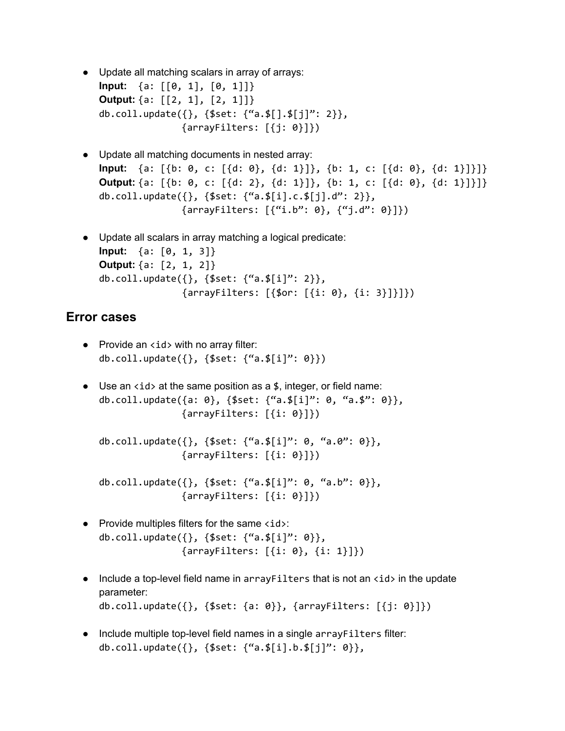- Update all matching scalars in array of arrays: **Input:** {a: [[0, 1], [0, 1]]} **Output:** {a: [[2, 1], [2, 1]]} db.coll.update({}, {\$set: {"a.\$[].\$[j]": 2}}, {arrayFilters: [{j: 0}]})
- Update all matching documents in nested array: **Input:** {a: [{b: 0, c: [{d: 0}, {d: 1}]}, {b: 1, c: [{d: 0}, {d: 1}]}]} **Output:** {a: [{b: 0, c: [{d: 2}, {d: 1}]}, {b: 1, c: [{d: 0}, {d: 1}]}]} db.coll.update({}, {\$set: {"a.\$[i].c.\$[j].d": 2}},  $\{arrayFilter: [\{``i.b": 0\}, \{``j.d": 0\}]\})$
- Update all scalars in array matching a logical predicate: **Input:** {a: [0, 1, 3]} **Output:** {a: [2, 1, 2]} db.coll.update({}, {\$set: {"a.\$[i]": 2}},  $\{arrayFilters: [{$for: [{}i: 0}, {i: 3}]}]$

### **Error cases**

- $\bullet$  Provide an  $\langle$  id  $\rangle$  with no array filter: db.coll.update( $\{\}$ ,  $\{\$set: {\text{set}: } {\text{``a.s[i]''}: 0}}\)$
- Use an  $\langle$  id  $\rangle$  at the same position as a \$, integer, or field name: db.coll.update({a: 0}, {\$set: {"a.\$[i]": 0, "a.\$": 0}}, {arrayFilters: [{i: 0}]})

```
db.coll.update({}, {$set: {"a.$[i]": 0, "a.0": 0}},
               {arrayFilters: [{i: 0}]})
```

```
db.coll.update({}, {$set: {"a.$[i]": 0, "a.b": 0}},
               {arrayFilters: [{i: 0}]})
```
- $\bullet$  Provide multiples filters for the same  $\langle id \rangle$ : db.coll.update({}, {\$set: {"a.\$[i]": 0}}, {arrayFilters: [{i: 0}, {i: 1}]})
- Include a top-level field name in arrayFilters that is not an  $\langle$ id> in the update parameter: db.coll.update({}, {\$set: {a: 0}}, {arrayFilters: [{j: 0}]})
- Include multiple top-level field names in a single arrayFilters filter: db.coll.update({}, {\$set: {"a.\$[i].b.\$[j]": 0}},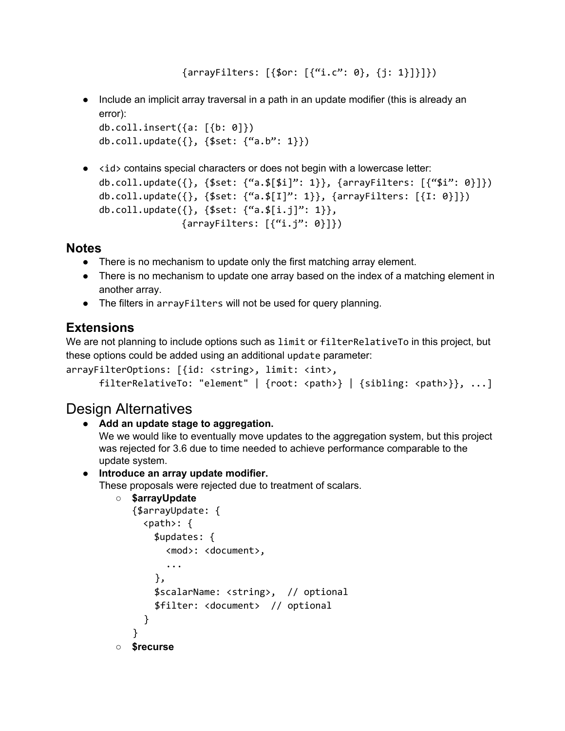```
\{arrayFilter: [\{for: [\{``i.c'': 0\}, \{i: 1\}]\}]
```
● Include an implicit array traversal in a path in an update modifier (this is already an error):

```
db.coll.insert({a: [{b: 0]})
db.coll.update({}, , {$set: {``a.b'': 1}})
```
● <id> contains special characters or does not begin with a lowercase letter: db.coll.update({}, {\$set: {"a.\$[\$i]": 1}}, {arrayFilters:  $[{\text{\{``\$i'': 0\}]\}}$ ) db.coll.update $({}, {$ \$set: {"a.\$[I]": 1}}, {arrayFilters: [{I: 0}]}) db.coll.update $({}, , {$ \$set:  ${``a.$(i.j}'': 1)},$  $\{arrayFilters: {f''i. j'': 0}]\}$ 

## **Notes**

- There is no mechanism to update only the first matching array element.
- There is no mechanism to update one array based on the index of a matching element in another array.
- The filters in arrayFilters will not be used for query planning.

# **Extensions**

We are not planning to include options such as limit or filterRelativeTo in this project, but these options could be added using an additional update parameter:

```
arrayFilterOptions: [{id: <string>, limit: <int>,
```

```
filterRelativeTo: "element" | {root: <path>} | {sibling: <path>}}, ...]
```
# Design Alternatives

#### **● Add an update stage to aggregation.**

We we would like to eventually move updates to the aggregation system, but this project was rejected for 3.6 due to time needed to achieve performance comparable to the update system.

#### ● **Introduce an array update modifier.**

These proposals were rejected due to treatment of scalars.

```
○ $arrayUpdate
```

```
{$arrayUpdate: {
     <path>: {
       $updates: {
         <mod>: <document>,
         ...
       },
       $scalarName: <string>, // optional
       $filter: <document> // optional
     }
   }
○ $recurse
```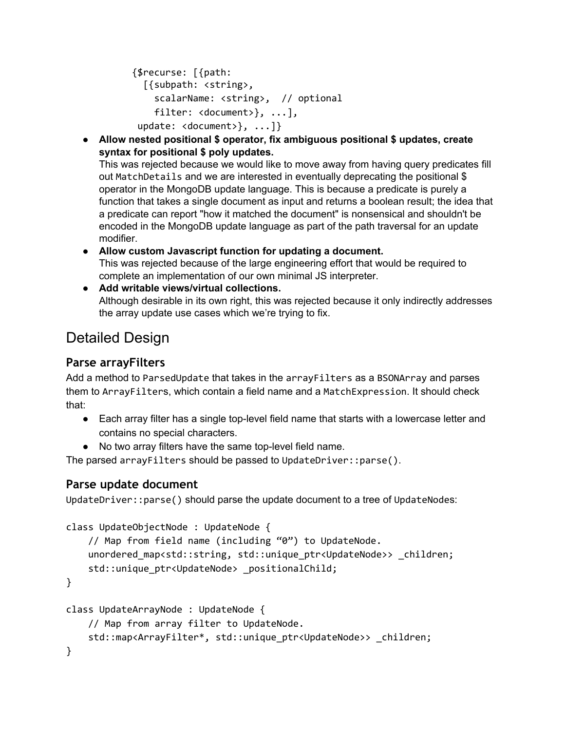```
{$recurse: [{path:
  [{subpath: <string>,
    scalarName: <string>, // optional
    filter: <document>}, ...],
 update: <document>}, ...]}
```
**● Allow nested positional \$ operator, fix ambiguous positional \$ updates, create syntax for positional \$ poly updates.**

This was rejected because we would like to move away from having query predicates fill out MatchDetails and we are interested in eventually deprecating the positional \$ operator in the MongoDB update language. This is because a predicate is purely a function that takes a single document as input and returns a boolean result; the idea that a predicate can report "how it matched the document" is nonsensical and shouldn't be encoded in the MongoDB update language as part of the path traversal for an update modifier.

- **● Allow custom Javascript function for updating a document.** This was rejected because of the large engineering effort that would be required to complete an implementation of our own minimal JS interpreter.
- **● Add writable views/virtual collections.** Although desirable in its own right, this was rejected because it only indirectly addresses the array update use cases which we're trying to fix.

# Detailed Design

# **Parse arrayFilters**

Add a method to ParsedUpdate that takes in the arrayFilters as a BSONArray and parses them to ArrayFilters, which contain a field name and a MatchExpression. It should check that:

- Each array filter has a single top-level field name that starts with a lowercase letter and contains no special characters.
- No two array filters have the same top-level field name.

The parsed arrayFilters should be passed to UpdateDriver::parse().

## **Parse update document**

UpdateDriver::parse() should parse the update document to a tree of UpdateNodes:

```
class UpdateObjectNode : UpdateNode {
    // Map from field name (including "0") to UpdateNode.
    unordered map<std::string, std::unique ptr<UpdateNode>> children;
    std::unique_ptr<UpdateNode> _positionalChild;
}
class UpdateArrayNode : UpdateNode {
    // Map from array filter to UpdateNode.
    std::map<ArrayFilter*, std::unique_ptr<UpdateNode>> children;
}
```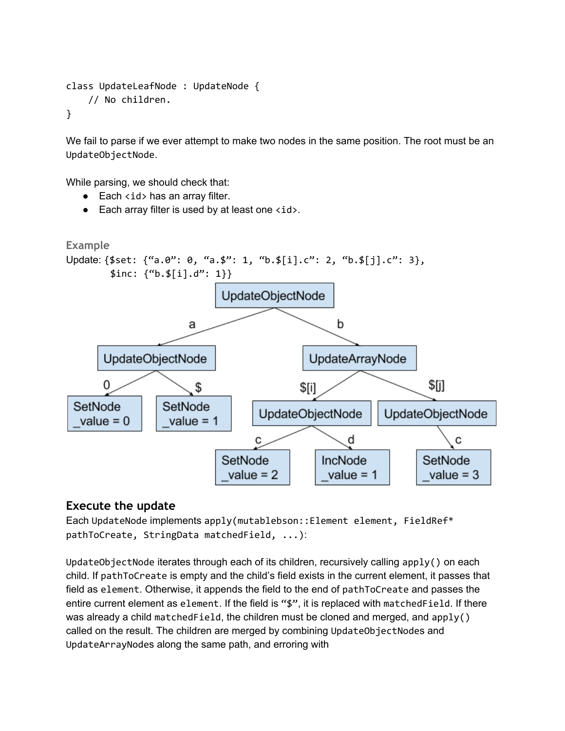```
class UpdateLeafNode : UpdateNode {
    // No children.
}
```
We fail to parse if we ever attempt to make two nodes in the same position. The root must be an UpdateObjectNode.

While parsing, we should check that:

- $\bullet$  Each  $\lt$ id > has an array filter.
- $\bullet$  Each array filter is used by at least one  $\langle id \rangle$ .



#### **Execute the update**

Each UpdateNode implements apply(mutablebson::Element element, FieldRef\* pathToCreate, StringData matchedField, ...):

UpdateObjectNode iterates through each of its children, recursively calling apply() on each child. If pathToCreate is empty and the child's field exists in the current element, it passes that field as element. Otherwise, it appends the field to the end of pathToCreate and passes the entire current element as element. If the field is "\$", it is replaced with matchedField. If there was already a child matchedField, the children must be cloned and merged, and apply() called on the result. The children are merged by combining UpdateObjectNodes and UpdateArrayNodes along the same path, and erroring with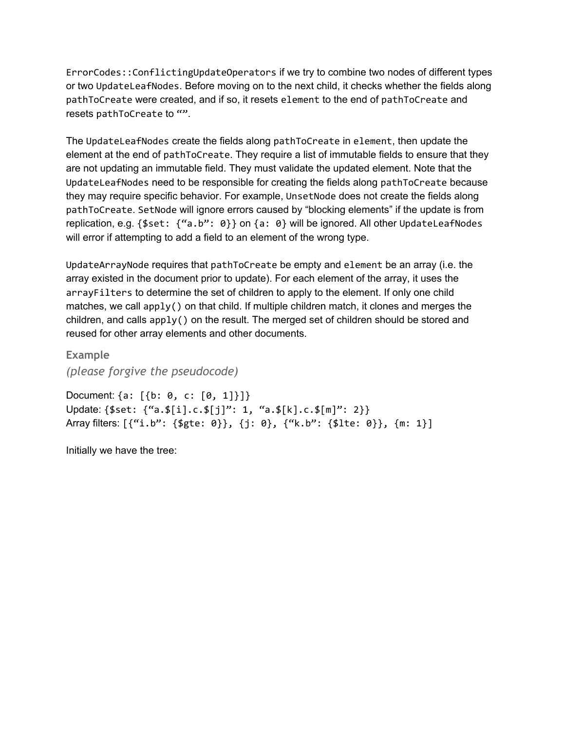ErrorCodes::ConflictingUpdateOperators if we try to combine two nodes of different types or two UpdateLeafNodes. Before moving on to the next child, it checks whether the fields along pathToCreate were created, and if so, it resets element to the end of pathToCreate and resets pathToCreate to "".

The UpdateLeafNodes create the fields along pathToCreate in element, then update the element at the end of pathToCreate. They require a list of immutable fields to ensure that they are not updating an immutable field. They must validate the updated element. Note that the UpdateLeafNodes need to be responsible for creating the fields along pathToCreate because they may require specific behavior. For example, UnsetNode does not create the fields along pathToCreate. SetNode will ignore errors caused by "blocking elements" if the update is from replication, e.g. {\$set: {"a.b": 0}} on {a: 0} will be ignored. All other UpdateLeafNodes will error if attempting to add a field to an element of the wrong type.

UpdateArrayNode requires that pathToCreate be empty and element be an array (i.e. the array existed in the document prior to update). For each element of the array, it uses the arrayFilters to determine the set of children to apply to the element. If only one child matches, we call apply() on that child. If multiple children match, it clones and merges the children, and calls apply() on the result. The merged set of children should be stored and reused for other array elements and other documents.

**Example**

*(please forgive the pseudocode)*

Document: {a: [{b: 0, c: [0, 1]}]} Update: {\$set: {"a.\$[i].c.\$[j]": 1, "a.\$[k].c.\$[m]": 2}} Array filters: [{"i.b": {\$gte: 0}}, {j: 0}, {"k.b": {\$lte: 0}}, {m: 1}]

Initially we have the tree: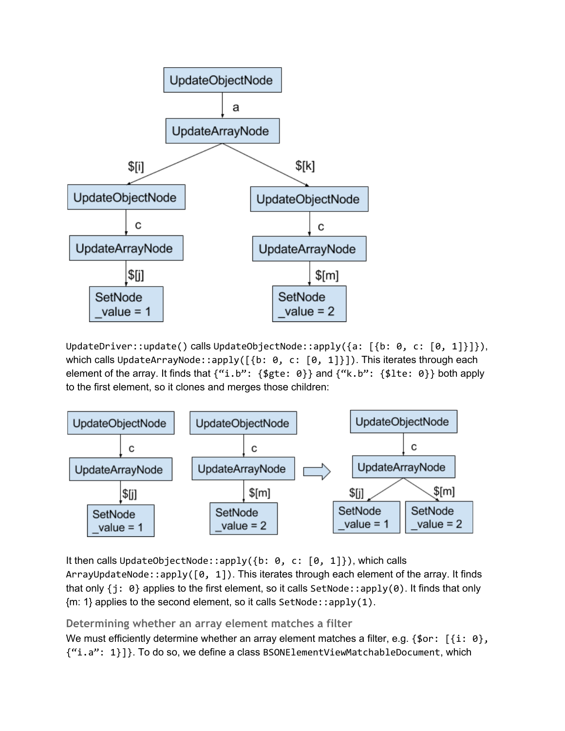

UpdateDriver::update() calls UpdateObjectNode::apply({a: [{b: 0, c: [0, 1]}]}), which calls UpdateArrayNode::apply([{b: 0, c: [0, 1]}]). This iterates through each element of the array. It finds that  ${``i.b": } {$ fgte: 0}} and  ${``k.b": } {$  {\$lte: 0}} both apply to the first element, so it clones and merges those children:



It then calls UpdateObjectNode::apply({b: 0, c: [0, 1]}), which calls ArrayUpdateNode::apply([0, 1]). This iterates through each element of the array. It finds that only  $\{j: \Theta\}$  applies to the first element, so it calls SetNode::apply(0). It finds that only  ${m: 1}$  applies to the second element, so it calls SetNode::apply(1).

**Determining whether an array element matches a filter**

We must efficiently determine whether an array element matches a filter, e.g.  $\{\text{for: } [\text{i: 0}\},\$ {"i.a": 1}]}. To do so, we define a class BSONElementViewMatchableDocument, which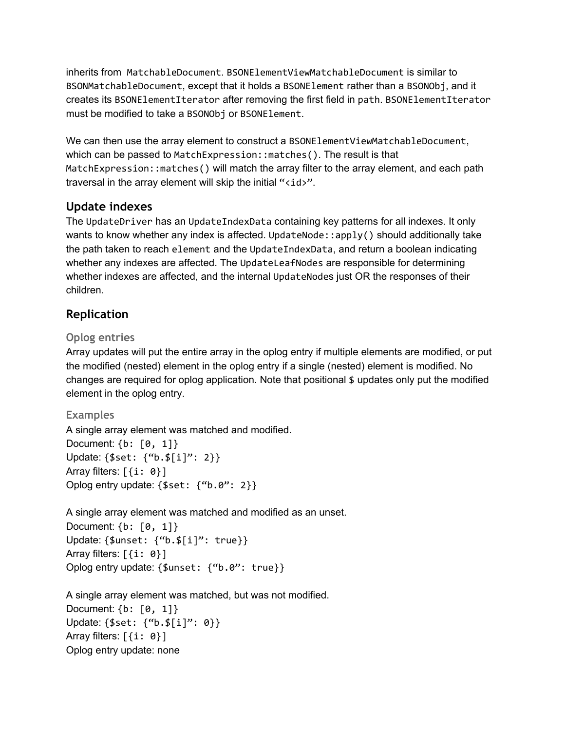inherits from MatchableDocument. BSONElementViewMatchableDocument is similar to BSONMatchableDocument, except that it holds a BSONElement rather than a BSONObj, and it creates its BSONElementIterator after removing the first field in path. BSONElementIterator must be modified to take a BSONObj or BSONElement.

We can then use the array element to construct a BSONElementViewMatchableDocument, which can be passed to MatchExpression::matches(). The result is that MatchExpression::matches() will match the array filter to the array element, and each path traversal in the array element will skip the initial "<id>".

### **Update indexes**

The UpdateDriver has an UpdateIndexData containing key patterns for all indexes. It only wants to know whether any index is affected. UpdateNode::apply() should additionally take the path taken to reach element and the UpdateIndexData, and return a boolean indicating whether any indexes are affected. The UpdateLeafNodes are responsible for determining whether indexes are affected, and the internal UpdateNodes just OR the responses of their children.

## **Replication**

### **Oplog entries**

Array updates will put the entire array in the oplog entry if multiple elements are modified, or put the modified (nested) element in the oplog entry if a single (nested) element is modified. No changes are required for oplog application. Note that positional \$ updates only put the modified element in the oplog entry.

### **Examples**

A single array element was matched and modified. Document: {b: [0, 1]} Update: {\$set: {"b.\$[i]": 2}} Array filters:  $[$ {i:  $0$ }] Oplog entry update: {\$set: {"b.0": 2}}

A single array element was matched and modified as an unset. Document: {b: [0, 1]} Update: {\$unset: {"b.\$[i]": true}} Array filters:  $[$ {i:  $0$ }] Oplog entry update: {\$unset: {"b.0": true}}

A single array element was matched, but was not modified. Document: {b: [0, 1]} Update: {\$set: {"b.\$[i]": 0}} Array filters:  $[$ {i:  $0$ }] Oplog entry update: none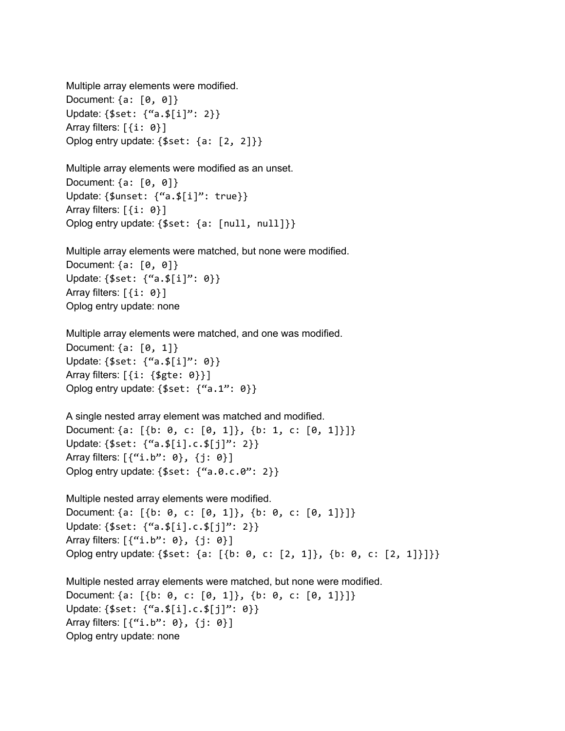Multiple array elements were modified. Document: {a: [0, 0]} Update: {\$set: {"a.\$[i]": 2}} Array filters:  $[$ {i:  $0$ }] Oplog entry update: {\$set: {a: [2, 2]}}

Multiple array elements were modified as an unset. Document: {a: [0, 0]} Update: {\$unset: {"a.\$[i]": true}} Array filters:  $[$ {i:  $0$ }] Oplog entry update: {\$set: {a: [null, null]}}

Multiple array elements were matched, but none were modified. Document: {a: [0, 0]} Update: {\$set: {"a.\$[i]": 0}} Array filters:  $[$ {i:  $0$ }] Oplog entry update: none

Multiple array elements were matched, and one was modified. Document: {a: [0, 1]} Update: {\$set: {"a.\$[i]": 0}} Array filters: [{i: {\$gte: 0}}] Oplog entry update: {\$set: {"a.1": 0}}

A single nested array element was matched and modified. Document: {a: [{b: 0, c: [0, 1]}, {b: 1, c: [0, 1]}]} Update: {\$set: {"a.\$[i].c.\$[j]": 2}} Array filters: [{"i.b": 0}, {j: 0}] Oplog entry update: {\$set: {"a.0.c.0": 2}}

Multiple nested array elements were modified. Document: {a: [{b: 0, c: [0, 1]}, {b: 0, c: [0, 1]}]} Update: {\$set: {"a.\$[i].c.\$[j]": 2}} Array filters: [{"i.b": 0}, {j: 0}] Oplog entry update: {\$set: {a: [{b: 0, c: [2, 1]}, {b: 0, c: [2, 1]}]}}

Multiple nested array elements were matched, but none were modified. Document: {a: [{b: 0, c: [0, 1]}, {b: 0, c: [0, 1]}]} Update: {\$set: {"a.\$[i].c.\$[j]": 0}} Array filters: [{"i.b": 0}, {j: 0}] Oplog entry update: none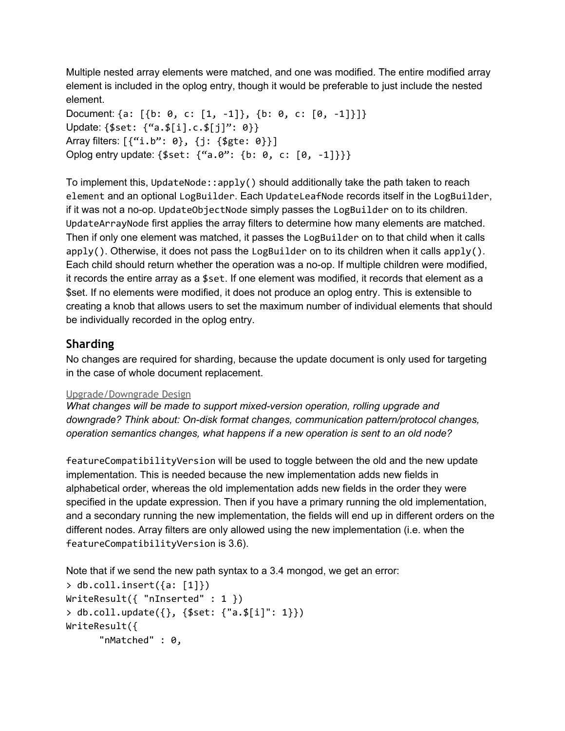Multiple nested array elements were matched, and one was modified. The entire modified array element is included in the oplog entry, though it would be preferable to just include the nested element.

Document:  $\{a: [\{b: 0, c: [1, -1]\}, \{b: 0, c: [0, -1]\}] \}$ Update: {\$set: {"a.\$[i].c.\$[j]": 0}} Array filters: [{"i.b": 0}, {j: {\$gte: 0}}] Oplog entry update: {\$set: {"a.0": {b: 0, c: [0, -1]}}}

To implement this, UpdateNode::apply() should additionally take the path taken to reach element and an optional LogBuilder. Each UpdateLeafNode records itself in the LogBuilder, if it was not a no-op. UpdateObjectNode simply passes the LogBuilder on to its children. UpdateArrayNode first applies the array filters to determine how many elements are matched. Then if only one element was matched, it passes the LogBuilder on to that child when it calls apply(). Otherwise, it does not pass the LogBuilder on to its children when it calls apply(). Each child should return whether the operation was a no-op. If multiple children were modified, it records the entire array as a \$set. If one element was modified, it records that element as a \$set. If no elements were modified, it does not produce an oplog entry. This is extensible to creating a knob that allows users to set the maximum number of individual elements that should be individually recorded in the oplog entry.

### **Sharding**

No changes are required for sharding, because the update document is only used for targeting in the case of whole document replacement.

#### Upgrade/Downgrade Design

*What changes will be made to support mixed-version operation, rolling upgrade and downgrade? Think about: On-disk format changes, communication pattern/protocol changes, operation semantics changes, what happens if a new operation is sent to an old node?*

featureCompatibilityVersion will be used to toggle between the old and the new update implementation. This is needed because the new implementation adds new fields in alphabetical order, whereas the old implementation adds new fields in the order they were specified in the update expression. Then if you have a primary running the old implementation, and a secondary running the new implementation, the fields will end up in different orders on the different nodes. Array filters are only allowed using the new implementation (i.e. when the featureCompatibilityVersion is 3.6).

Note that if we send the new path syntax to a 3.4 mongod, we get an error:

```
> db.coll.insert({a: [1]})
WriteResult({ "nInserted" : 1 })
> db.coll.update({}, {$set: {"a.$[i]": 1}})
WriteResult({
      "nMatched" : 0,
```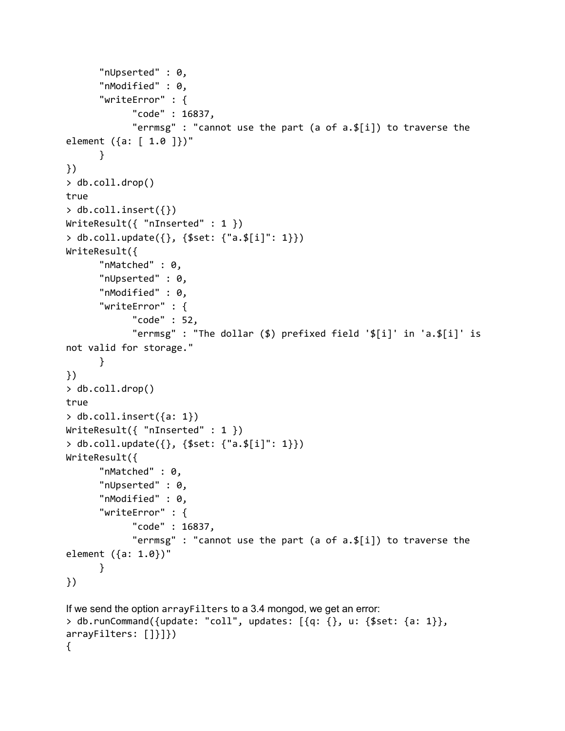```
"nUpserted" : 0,
      "nModified" : 0,
      "writeError" : {
            "code" : 16837,
            "errmsg" : "cannot use the part (a of a.$[i]) to traverse the
element ({a: [ 1.0 ]})"
      }
})
> db.coll.drop()
true
> db.coll.insert({})WriteResult({ "nInserted" : 1 })
> db.coll.update({}, {$set: {"a.$[i]": 1}})
WriteResult({
      "nMatched" : 0,
      "nUpserted" : 0,
      "nModified" : 0,
      "writeError" : {
            "code" : 52,
            "errmsg" : "The dollar ($) prefixed field '$[i]' in 'a.$[i]' is
not valid for storage."
      }
})
> db.coll.drop()
true
> db.coll.insert({a: 1})
WriteResult({ "nInserted" : 1 })
> db.coll.update({}, {$set: {"a.$[i]": 1}})
WriteResult({
      "nMatched" : 0,
      "nUpserted" : 0,
      "nModified" : 0,
      "writeError" : {
            "code" : 16837,
            "errmsg" : "cannot use the part (a of a.$[i]) to traverse the
element ({a: 1.0})"
      }
})
If we send the option arrayFilters to a 3.4 mongod, we get an error:
> db.runCommand({update: "coll", updates: [{q: {}, u: {$set: {a: 1}},
arrayFilters: []}]})
{
```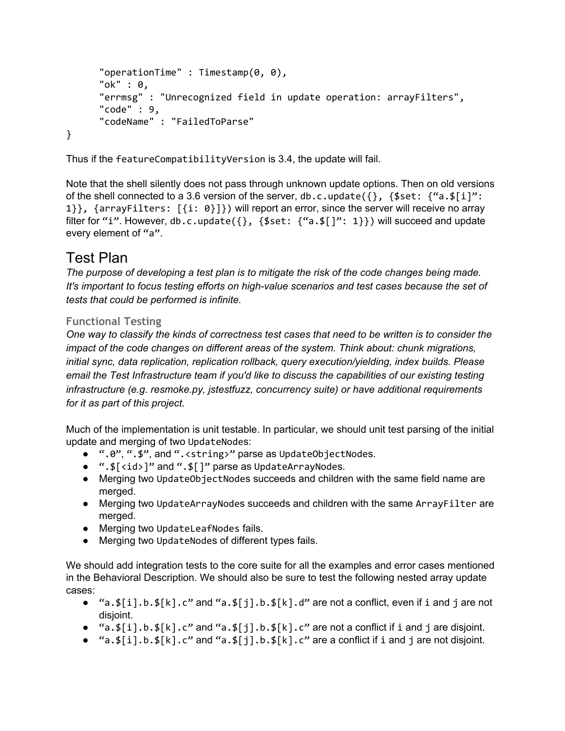```
"operationTime" : Timestamp(0, 0),
      "ok" : 0,
      "errmsg" : "Unrecognized field in update operation: arrayFilters",
      "code" : 9,
      "codeName" : "FailedToParse"
}
```
Thus if the featureCompatibilityVersion is 3.4, the update will fail.

Note that the shell silently does not pass through unknown update options. Then on old versions of the shell connected to a 3.6 version of the server, db.c.update( $\{\}$ ,  $\{\$set$ set:  $\{\text{``a.s[i]'':}\}$ 1}}, {arrayFilters: [{i: 0}]}) will report an error, since the server will receive no array filter for "i". However, db.c.update( $\{\}$ ,  $\{\$set: {\}$ "i: 1}}) will succeed and update every element of "a".

# Test Plan

*The purpose of developing a test plan is to mitigate the risk of the code changes being made. It's important to focus testing efforts on high-value scenarios and test cases because the set of tests that could be performed is infinite.*

### **Functional Testing**

One way to classify the kinds of correctness test cases that need to be written is to consider the *impact of the code changes on different areas of the system. Think about: chunk migrations, initial sync, data replication, replication rollback, query execution/yielding, index builds. Please email the Test Infrastructure team if you'd like to discuss the capabilities of our existing testing infrastructure (e.g. resmoke.py, jstestfuzz, concurrency suite) or have additional requirements for it as part of this project.*

Much of the implementation is unit testable. In particular, we should unit test parsing of the initial update and merging of two UpdateNodes:

- ".0", ".\$", and ".<string>" parse as UpdateObjectNodes.
- ".\$[<id>]" and ".\$[]" parse as UpdateArrayNodes.
- Merging two UpdateObjectNodes succeeds and children with the same field name are merged.
- Merging two UpdateArrayNodes succeeds and children with the same ArrayFilter are merged.
- Merging two UpdateLeafNodes fails.
- Merging two UpdateNodes of different types fails.

We should add integration tests to the core suite for all the examples and error cases mentioned in the Behavioral Description. We should also be sure to test the following nested array update cases:

- $a.s[i].b.s[k].c"$  and  $a.s[j].b.s[k].d"$  are not a conflict, even if i and j are not disjoint.
- $\bullet$  "a.\$[i].b.\$[k].c" and "a.\$[j].b.\$[k].c" are not a conflict if i and j are disjoint.
- "a. $\frac{1}{2}$ [i].b. $\frac{1}{2}$ [k].c" and "a. $\frac{1}{2}$ [j].b. $\frac{1}{2}$ [k].c" are a conflict if i and j are not disjoint.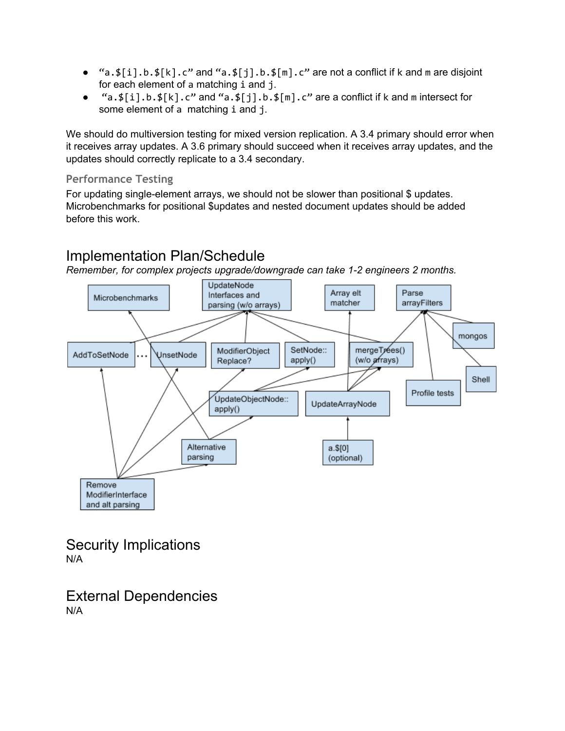- "a. $\frac{1}{2}$ [i].b. $\frac{1}{2}$ [k].c" and "a. $\frac{1}{2}$ [j].b. $\frac{1}{2}$ [m].c" are not a conflict if k and m are disjoint for each element of a matching i and j.
- "a. $\frac{1}{2}[i].b.\frac{1}{2}[k].c"$  and "a. $\frac{1}{2}[j].b.\frac{1}{2}[m].c"$  are a conflict if k and m intersect for some element of a matching i and j.

We should do multiversion testing for mixed version replication. A 3.4 primary should error when it receives array updates. A 3.6 primary should succeed when it receives array updates, and the updates should correctly replicate to a 3.4 secondary.

#### **Performance Testing**

For updating single-element arrays, we should not be slower than positional \$ updates. Microbenchmarks for positional \$updates and nested document updates should be added before this work.

# Implementation Plan/Schedule

*Remember, for complex projects upgrade/downgrade can take 1-2 engineers 2 months.*



Security Implications N/A

External Dependencies N/A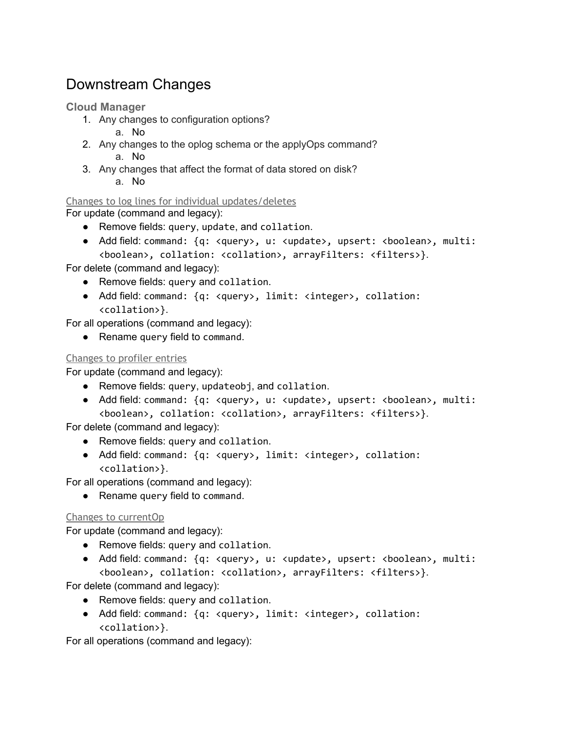# Downstream Changes

#### **Cloud Manager**

- 1. Any changes to configuration options?
	- a. No
- 2. Any changes to the oplog schema or the applyOps command? a. No
- 3. Any changes that affect the format of data stored on disk? a. No

Changes to log lines for individual updates/deletes

For update (command and legacy):

- Remove fields: query, update, and collation.
- Add field: command: {q: <query>, u: <update>, upsert: <br/> <br/> <br/><br/>ean>, multi: <boolean>, collation: <collation>, arrayFilters: <filters>}.

For delete (command and legacy):

- Remove fields: query and collation.
- Add field: command: {q: <query>, limit: <integer>, collation: <collation>}.

For all operations (command and legacy):

● Rename query field to command.

#### Changes to profiler entries

For update (command and legacy):

- Remove fields: query, updateobj, and collation.
- Add field: command: {q: <query>, u: <update>, upsert: <boolean>, multi: <boolean>, collation: <collation>, arrayFilters: <filters>}.

For delete (command and legacy):

- Remove fields: query and collation.
- Add field: command: {q: <query>, limit: <integer>, collation: <collation>}.

For all operations (command and legacy):

• Rename query field to command.

#### Changes to currentOp

For update (command and legacy):

- Remove fields: query and collation.
- Add field: command: {q: <query>, u: <update>, upsert: <boolean>, multi: <boolean>, collation: <collation>, arrayFilters: <filters>}.

For delete (command and legacy):

- Remove fields: query and collation.
- Add field: command: {q: <query>, limit: <integer>, collation: <collation>}.

For all operations (command and legacy):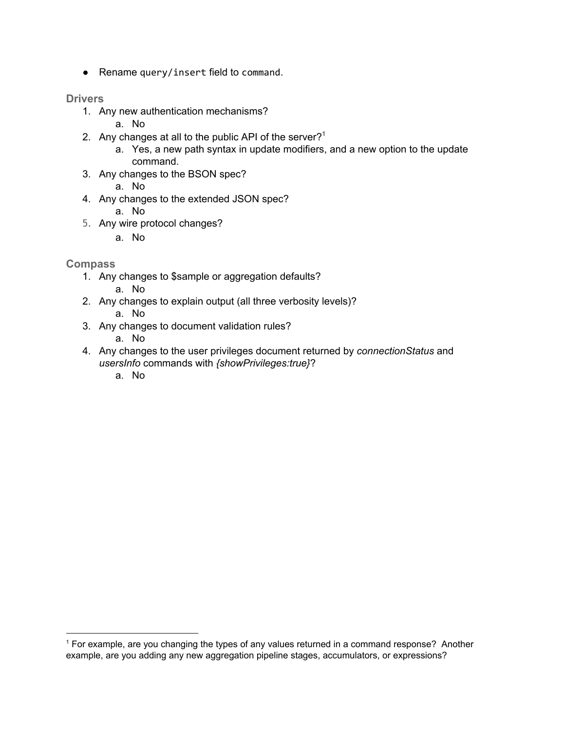● Rename query/insert field to command.

#### **Drivers**

- 1. Any new authentication mechanisms?
	- a. No
- 2. Any changes at all to the public API of the server? **1**
	- a. Yes, a new path syntax in update modifiers, and a new option to the update command.
- 3. Any changes to the BSON spec?
	- a. No
- 4. Any changes to the extended JSON spec?
	- a. No
- 5. Any wire protocol changes?
	- a. No

#### **Compass**

- 1. Any changes to \$sample or aggregation defaults?
	- a. No
- 2. Any changes to explain output (all three verbosity levels)?
	- a. No
- 3. Any changes to document validation rules?
	- a. No
- 4. Any changes to the user privileges document returned by *connectionStatus* and *usersInfo* commands with *{showPrivileges:true}*?
	- a. No

<sup>1</sup> For example, are you changing the types of any values returned in a command response? Another example, are you adding any new aggregation pipeline stages, accumulators, or expressions?